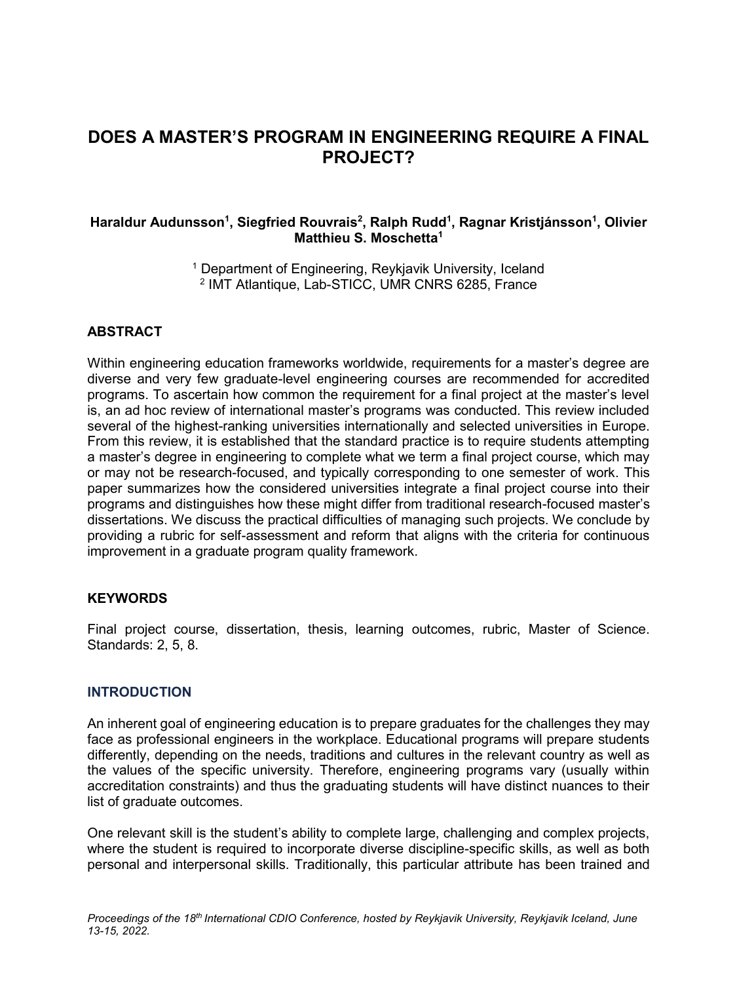# **DOES A MASTER'S PROGRAM IN ENGINEERING REQUIRE A FINAL PROJECT?**

#### **Haraldur Audunsson<sup>1</sup> , Siegfried Rouvrais<sup>2</sup> , Ralph Rudd<sup>1</sup> , Ragnar Kristjánsson<sup>1</sup> , Olivier Matthieu S. Moschetta<sup>1</sup>**

<sup>1</sup> Department of Engineering, Reykjavik University, Iceland 2 IMT Atlantique, Lab-STICC, UMR CNRS 6285, France

### **ABSTRACT**

Within engineering education frameworks worldwide, requirements for a master's degree are diverse and very few graduate-level engineering courses are recommended for accredited programs. To ascertain how common the requirement for a final project at the master's level is, an ad hoc review of international master's programs was conducted. This review included several of the highest-ranking universities internationally and selected universities in Europe. From this review, it is established that the standard practice is to require students attempting a master's degree in engineering to complete what we term a final project course, which may or may not be research-focused, and typically corresponding to one semester of work. This paper summarizes how the considered universities integrate a final project course into their programs and distinguishes how these might differ from traditional research-focused master's dissertations. We discuss the practical difficulties of managing such projects. We conclude by providing a rubric for self-assessment and reform that aligns with the criteria for continuous improvement in a graduate program quality framework.

#### **KEYWORDS**

Final project course, dissertation, thesis, learning outcomes, rubric, Master of Science. Standards: 2, 5, 8.

#### **INTRODUCTION**

An inherent goal of engineering education is to prepare graduates for the challenges they may face as professional engineers in the workplace. Educational programs will prepare students differently, depending on the needs, traditions and cultures in the relevant country as well as the values of the specific university. Therefore, engineering programs vary (usually within accreditation constraints) and thus the graduating students will have distinct nuances to their list of graduate outcomes.

One relevant skill is the student's ability to complete large, challenging and complex projects, where the student is required to incorporate diverse discipline-specific skills, as well as both personal and interpersonal skills. Traditionally, this particular attribute has been trained and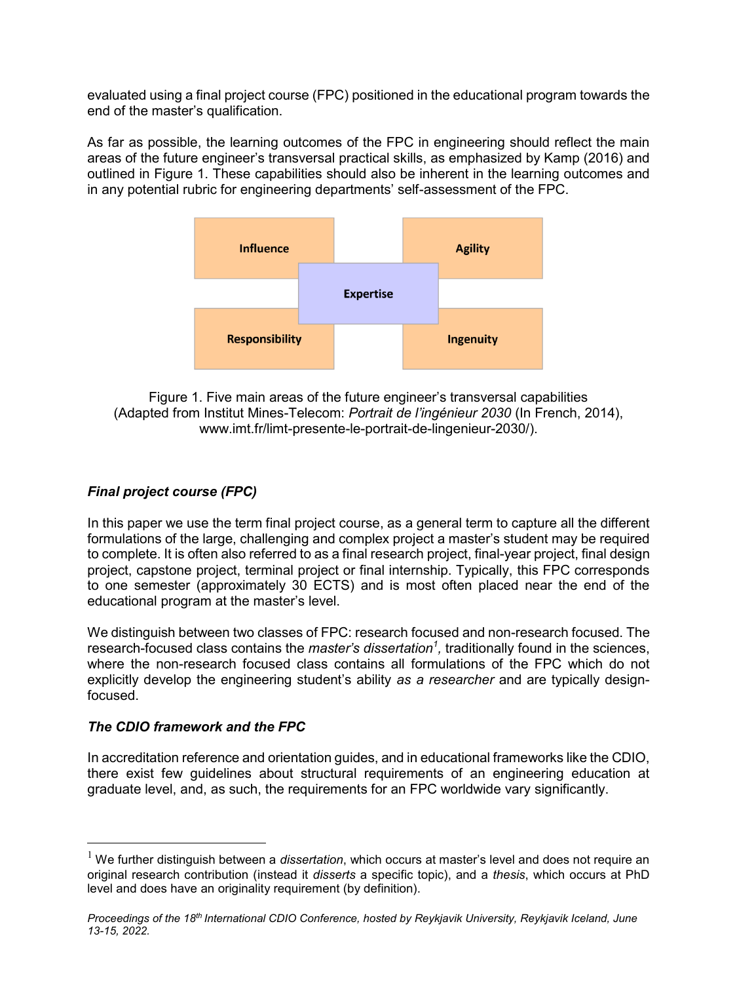evaluated using a final project course (FPC) positioned in the educational program towards the end of the master's qualification.

As far as possible, the learning outcomes of the FPC in engineering should reflect the main areas of the future engineer's transversal practical skills, as emphasized by Kamp (2016) and outlined in Figure 1. These capabilities should also be inherent in the learning outcomes and in any potential rubric for engineering departments' self-assessment of the FPC.



Figure 1. Five main areas of the future engineer's transversal capabilities (Adapted from Institut Mines-Telecom: *Portrait de l'ingénieur 2030* (In French, 2014), www.imt.fr/limt-presente-le-portrait-de-lingenieur-2030/).

# *Final project course (FPC)*

In this paper we use the term final project course, as a general term to capture all the different formulations of the large, challenging and complex project a master's student may be required to complete. It is often also referred to as a final research project, final-year project, final design project, capstone project, terminal project or final internship. Typically, this FPC corresponds to one semester (approximately 30 ECTS) and is most often placed near the end of the educational program at the master's level.

We distinguish between two classes of FPC: research focused and non-research focused. The research-focused class contains the *master's dissertation<sup>1</sup> ,* traditionally found in the sciences, where the non-research focused class contains all formulations of the FPC which do not explicitly develop the engineering student's ability *as a researcher* and are typically designfocused.

### *The CDIO framework and the FPC*

 $\overline{a}$ 

In accreditation reference and orientation guides, and in educational frameworks like the CDIO, there exist few guidelines about structural requirements of an engineering education at graduate level, and, as such, the requirements for an FPC worldwide vary significantly.

<sup>1</sup> We further distinguish between a *dissertation*, which occurs at master's level and does not require an original research contribution (instead it *disserts* a specific topic), and a *thesis*, which occurs at PhD level and does have an originality requirement (by definition).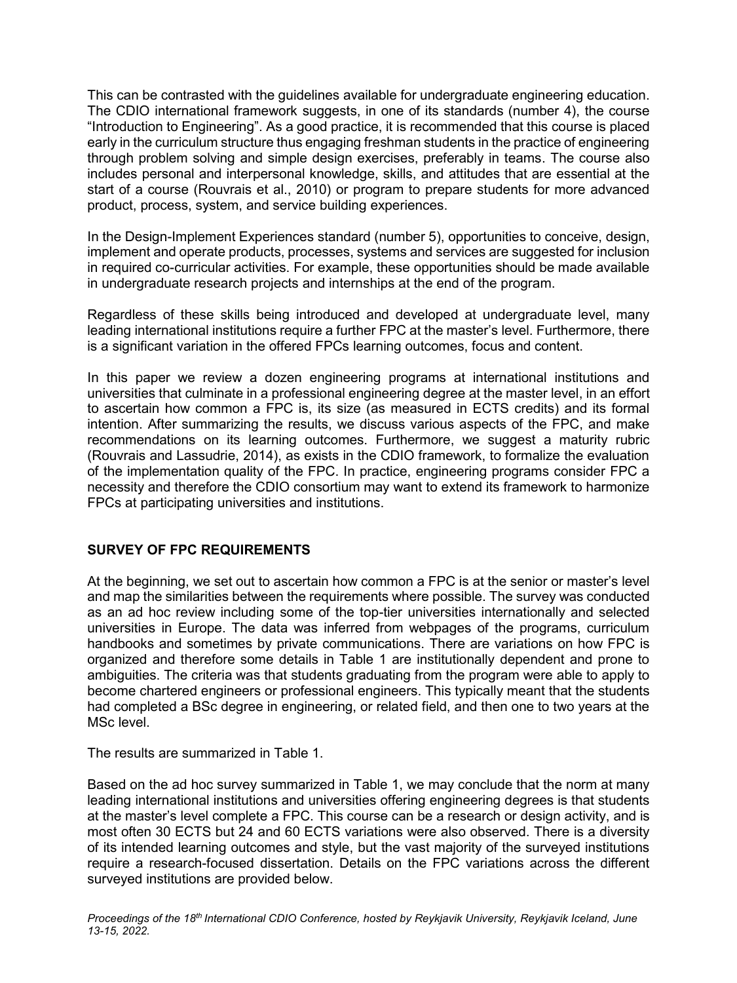This can be contrasted with the guidelines available for undergraduate engineering education. The CDIO international framework suggests, in one of its standards (number 4), the course "Introduction to Engineering". As a good practice, it is recommended that this course is placed early in the curriculum structure thus engaging freshman students in the practice of engineering through problem solving and simple design exercises, preferably in teams. The course also includes personal and interpersonal knowledge, skills, and attitudes that are essential at the start of a course (Rouvrais et al., 2010) or program to prepare students for more advanced product, process, system, and service building experiences.

In the Design-Implement Experiences standard (number 5), opportunities to conceive, design, implement and operate products, processes, systems and services are suggested for inclusion in required co-curricular activities. For example, these opportunities should be made available in undergraduate research projects and internships at the end of the program.

Regardless of these skills being introduced and developed at undergraduate level, many leading international institutions require a further FPC at the master's level. Furthermore, there is a significant variation in the offered FPCs learning outcomes, focus and content.

In this paper we review a dozen engineering programs at international institutions and universities that culminate in a professional engineering degree at the master level, in an effort to ascertain how common a FPC is, its size (as measured in ECTS credits) and its formal intention. After summarizing the results, we discuss various aspects of the FPC, and make recommendations on its learning outcomes. Furthermore, we suggest a maturity rubric (Rouvrais and Lassudrie, 2014), as exists in the CDIO framework, to formalize the evaluation of the implementation quality of the FPC. In practice, engineering programs consider FPC a necessity and therefore the CDIO consortium may want to extend its framework to harmonize FPCs at participating universities and institutions.

### **SURVEY OF FPC REQUIREMENTS**

At the beginning, we set out to ascertain how common a FPC is at the senior or master's level and map the similarities between the requirements where possible. The survey was conducted as an ad hoc review including some of the top-tier universities internationally and selected universities in Europe. The data was inferred from webpages of the programs, curriculum handbooks and sometimes by private communications. There are variations on how FPC is organized and therefore some details in Table 1 are institutionally dependent and prone to ambiguities. The criteria was that students graduating from the program were able to apply to become chartered engineers or professional engineers. This typically meant that the students had completed a BSc degree in engineering, or related field, and then one to two years at the MSc level.

The results are summarized in Table 1.

Based on the ad hoc survey summarized in Table 1, we may conclude that the norm at many leading international institutions and universities offering engineering degrees is that students at the master's level complete a FPC. This course can be a research or design activity, and is most often 30 ECTS but 24 and 60 ECTS variations were also observed. There is a diversity of its intended learning outcomes and style, but the vast majority of the surveyed institutions require a research-focused dissertation. Details on the FPC variations across the different surveyed institutions are provided below.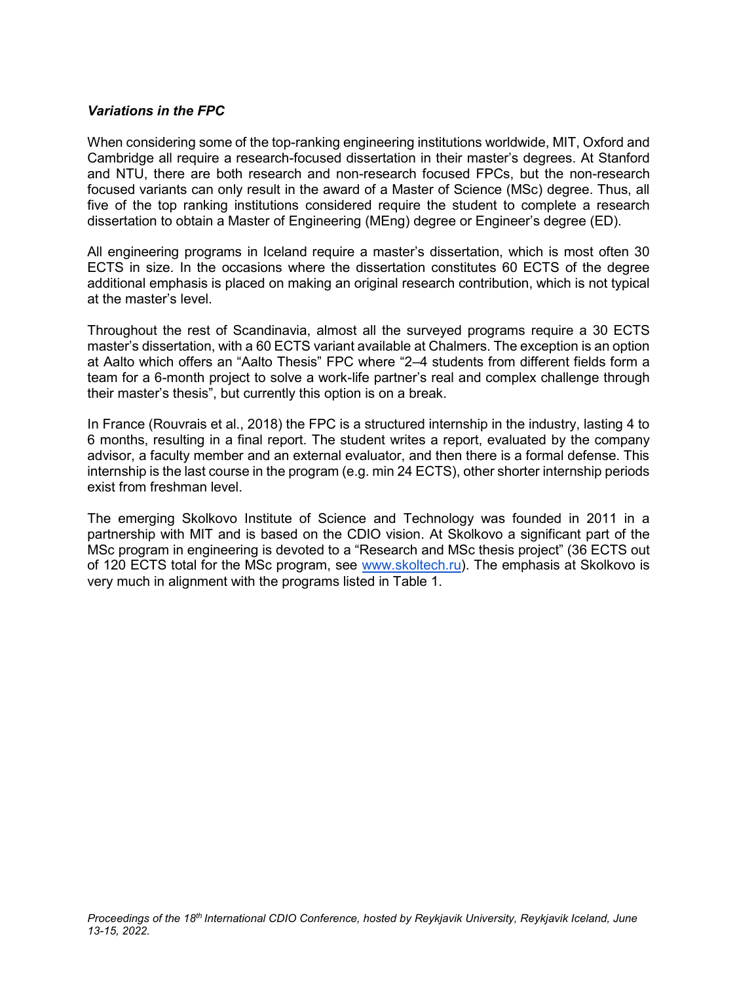#### *Variations in the FPC*

When considering some of the top-ranking engineering institutions worldwide, MIT, Oxford and Cambridge all require a research-focused dissertation in their master's degrees. At Stanford and NTU, there are both research and non-research focused FPCs, but the non-research focused variants can only result in the award of a Master of Science (MSc) degree. Thus, all five of the top ranking institutions considered require the student to complete a research dissertation to obtain a Master of Engineering (MEng) degree or Engineer's degree (ED).

All engineering programs in Iceland require a master's dissertation, which is most often 30 ECTS in size. In the occasions where the dissertation constitutes 60 ECTS of the degree additional emphasis is placed on making an original research contribution, which is not typical at the master's level.

Throughout the rest of Scandinavia, almost all the surveyed programs require a 30 ECTS master's dissertation, with a 60 ECTS variant available at Chalmers. The exception is an option at Aalto which offers an "Aalto Thesis" FPC where "2–4 students from different fields form a team for a 6-month project to solve a work-life partner's real and complex challenge through their master's thesis", but currently this option is on a break.

In France (Rouvrais et al., 2018) the FPC is a structured internship in the industry, lasting 4 to 6 months, resulting in a final report. The student writes a report, evaluated by the company advisor, a faculty member and an external evaluator, and then there is a formal defense. This internship is the last course in the program (e.g. min 24 ECTS), other shorter internship periods exist from freshman level.

The emerging Skolkovo Institute of Science and Technology was founded in 2011 in a partnership with MIT and is based on the CDIO vision. At Skolkovo a significant part of the MSc program in engineering is devoted to a "Research and MSc thesis project" (36 ECTS out of 120 ECTS total for the MSc program, see [www.skoltech.ru\)](http://www.skoltech.ru/). The emphasis at Skolkovo is very much in alignment with the programs listed in Table 1.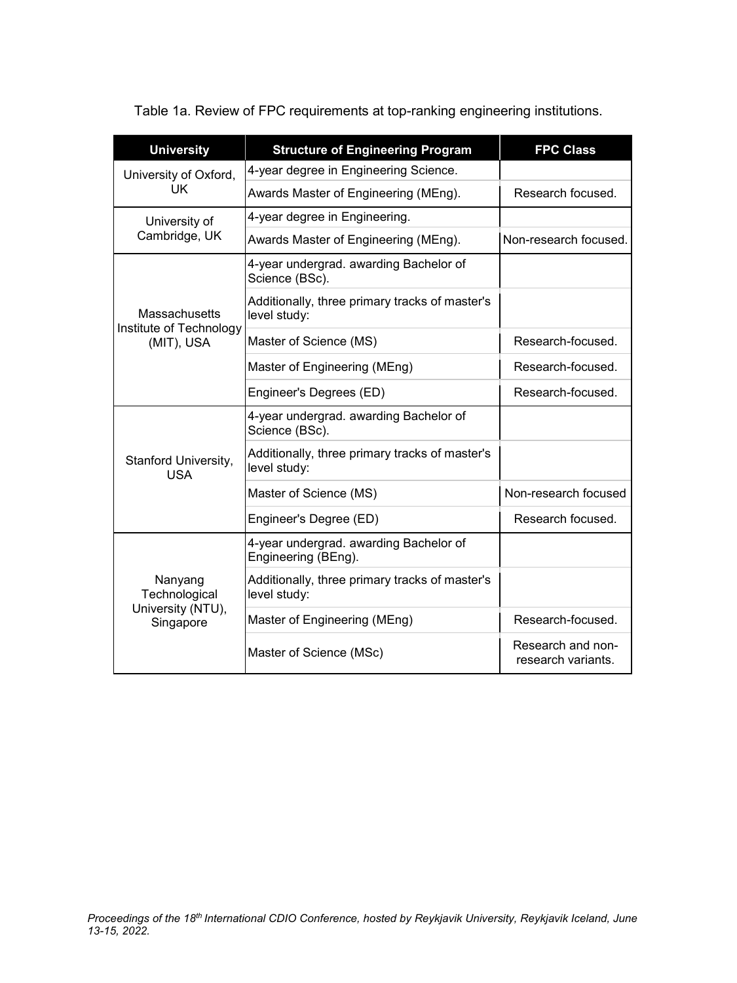Table 1a. Review of FPC requirements at top-ranking engineering institutions.

| <b>University</b>                                             | <b>Structure of Engineering Program</b>                        | <b>FPC Class</b>                        |
|---------------------------------------------------------------|----------------------------------------------------------------|-----------------------------------------|
| University of Oxford,<br>UK                                   | 4-year degree in Engineering Science.                          |                                         |
|                                                               | Awards Master of Engineering (MEng).                           | Research focused.                       |
| University of<br>Cambridge, UK                                | 4-year degree in Engineering.                                  |                                         |
|                                                               | Awards Master of Engineering (MEng).                           | Non-research focused.                   |
| <b>Massachusetts</b><br>Institute of Technology<br>(MIT), USA | 4-year undergrad. awarding Bachelor of<br>Science (BSc).       |                                         |
|                                                               | Additionally, three primary tracks of master's<br>level study: |                                         |
|                                                               | Master of Science (MS)                                         | Research-focused.                       |
|                                                               | Master of Engineering (MEng)                                   | Research-focused.                       |
|                                                               | Engineer's Degrees (ED)                                        | Research-focused.                       |
| Stanford University,<br><b>USA</b>                            | 4-year undergrad. awarding Bachelor of<br>Science (BSc).       |                                         |
|                                                               | Additionally, three primary tracks of master's<br>level study: |                                         |
|                                                               | Master of Science (MS)                                         | Non-research focused                    |
|                                                               | Engineer's Degree (ED)                                         | Research focused.                       |
| Nanyang<br>Technological<br>University (NTU),<br>Singapore    | 4-year undergrad. awarding Bachelor of<br>Engineering (BEng).  |                                         |
|                                                               | Additionally, three primary tracks of master's<br>level study: |                                         |
|                                                               | Master of Engineering (MEng)                                   | Research-focused.                       |
|                                                               | Master of Science (MSc)                                        | Research and non-<br>research variants. |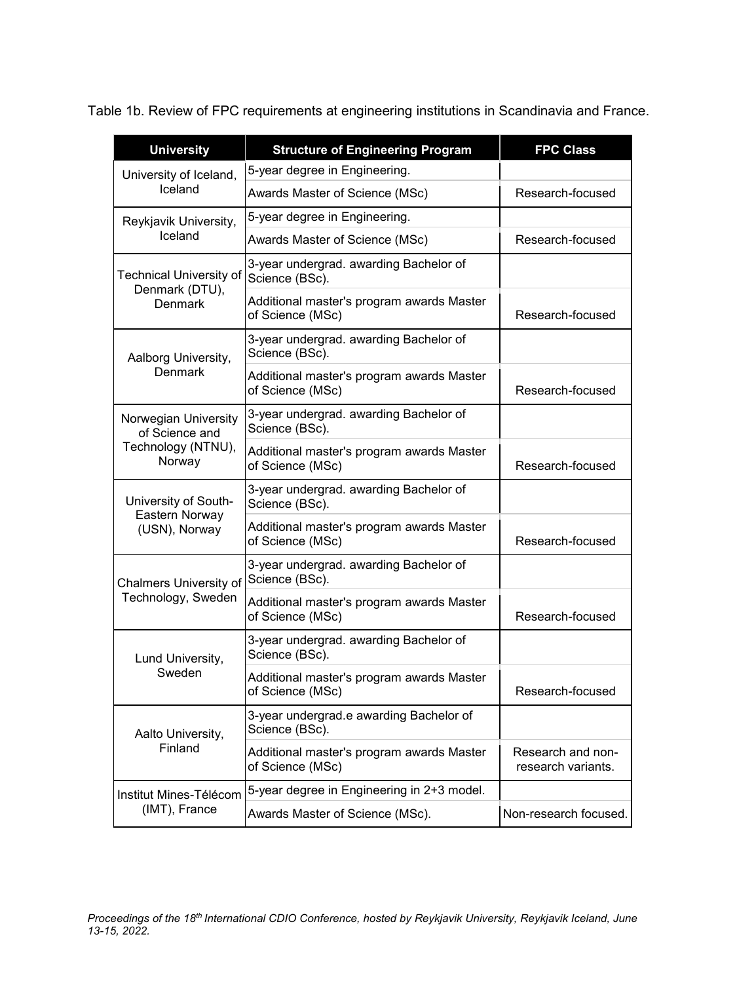Table 1b. Review of FPC requirements at engineering institutions in Scandinavia and France.

| <b>University</b>                                                      | <b>Structure of Engineering Program</b>                       | <b>FPC Class</b>                        |
|------------------------------------------------------------------------|---------------------------------------------------------------|-----------------------------------------|
| University of Iceland,<br>Iceland                                      | 5-year degree in Engineering.                                 |                                         |
|                                                                        | Awards Master of Science (MSc)                                | Research-focused                        |
| Reykjavik University,<br>Iceland                                       | 5-year degree in Engineering.                                 |                                         |
|                                                                        | Awards Master of Science (MSc)                                | Research-focused                        |
| <b>Technical University of</b><br>Denmark (DTU),<br><b>Denmark</b>     | 3-year undergrad. awarding Bachelor of<br>Science (BSc).      |                                         |
|                                                                        | Additional master's program awards Master<br>of Science (MSc) | Research-focused                        |
| Aalborg University,<br>Denmark                                         | 3-year undergrad. awarding Bachelor of<br>Science (BSc).      |                                         |
|                                                                        | Additional master's program awards Master<br>of Science (MSc) | Research-focused                        |
| Norwegian University<br>of Science and<br>Technology (NTNU),<br>Norway | 3-year undergrad. awarding Bachelor of<br>Science (BSc).      |                                         |
|                                                                        | Additional master's program awards Master<br>of Science (MSc) | Research-focused                        |
| University of South-<br>Eastern Norway<br>(USN), Norway                | 3-year undergrad. awarding Bachelor of<br>Science (BSc).      |                                         |
|                                                                        | Additional master's program awards Master<br>of Science (MSc) | Research-focused                        |
| Chalmers University of<br>Technology, Sweden                           | 3-year undergrad. awarding Bachelor of<br>Science (BSc).      |                                         |
|                                                                        | Additional master's program awards Master<br>of Science (MSc) | Research-focused                        |
| Lund University,<br>Sweden                                             | 3-year undergrad. awarding Bachelor of<br>Science (BSc).      |                                         |
|                                                                        | Additional master's program awards Master<br>of Science (MSc) | Research-focused                        |
| Aalto University,<br>Finland                                           | 3-year undergrad.e awarding Bachelor of<br>Science (BSc).     |                                         |
|                                                                        | Additional master's program awards Master<br>of Science (MSc) | Research and non-<br>research variants. |
| Institut Mines-Télécom<br>(IMT), France                                | 5-year degree in Engineering in 2+3 model.                    |                                         |
|                                                                        | Awards Master of Science (MSc).                               | Non-research focused.                   |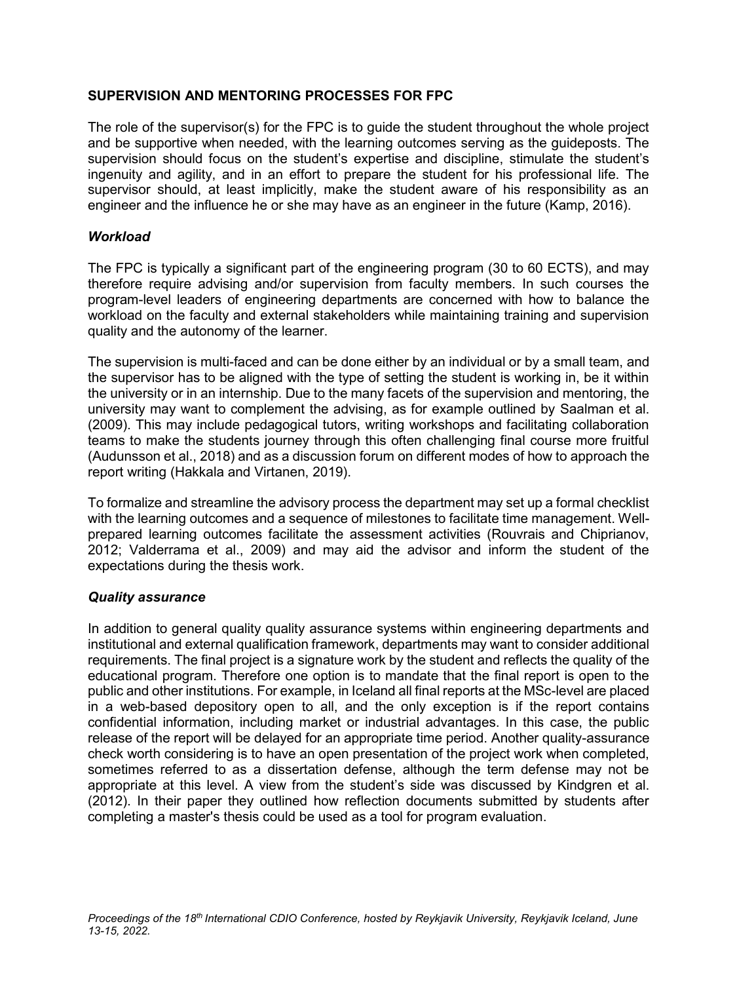# **SUPERVISION AND MENTORING PROCESSES FOR FPC**

The role of the supervisor(s) for the FPC is to guide the student throughout the whole project and be supportive when needed, with the learning outcomes serving as the guideposts. The supervision should focus on the student's expertise and discipline, stimulate the student's ingenuity and agility, and in an effort to prepare the student for his professional life. The supervisor should, at least implicitly, make the student aware of his responsibility as an engineer and the influence he or she may have as an engineer in the future (Kamp, 2016).

# *Workload*

The FPC is typically a significant part of the engineering program (30 to 60 ECTS), and may therefore require advising and/or supervision from faculty members. In such courses the program-level leaders of engineering departments are concerned with how to balance the workload on the faculty and external stakeholders while maintaining training and supervision quality and the autonomy of the learner.

The supervision is multi-faced and can be done either by an individual or by a small team, and the supervisor has to be aligned with the type of setting the student is working in, be it within the university or in an internship. Due to the many facets of the supervision and mentoring, the university may want to complement the advising, as for example outlined by Saalman et al. (2009). This may include pedagogical tutors, writing workshops and facilitating collaboration teams to make the students journey through this often challenging final course more fruitful (Audunsson et al., 2018) and as a discussion forum on different modes of how to approach the report writing (Hakkala and Virtanen, 2019).

To formalize and streamline the advisory process the department may set up a formal checklist with the learning outcomes and a sequence of milestones to facilitate time management. Wellprepared learning outcomes facilitate the assessment activities (Rouvrais and Chiprianov, 2012; Valderrama et al., 2009) and may aid the advisor and inform the student of the expectations during the thesis work.

### *Quality assurance*

In addition to general quality quality assurance systems within engineering departments and institutional and external qualification framework, departments may want to consider additional requirements. The final project is a signature work by the student and reflects the quality of the educational program. Therefore one option is to mandate that the final report is open to the public and other institutions. For example, in Iceland all final reports at the MSc-level are placed in a web-based depository open to all, and the only exception is if the report contains confidential information, including market or industrial advantages. In this case, the public release of the report will be delayed for an appropriate time period. Another quality-assurance check worth considering is to have an open presentation of the project work when completed, sometimes referred to as a dissertation defense, although the term defense may not be appropriate at this level. A view from the student's side was discussed by Kindgren et al. (2012). In their paper they outlined how reflection documents submitted by students after completing a master's thesis could be used as a tool for program evaluation.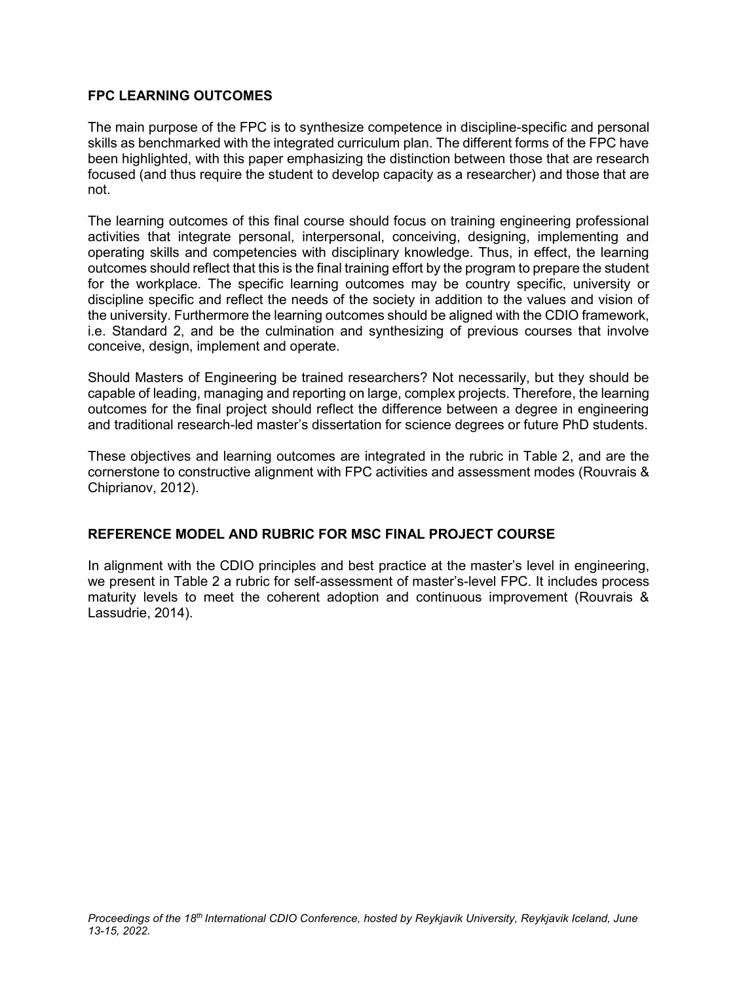# **FPC LEARNING OUTCOMES**

The main purpose of the FPC is to synthesize competence in discipline-specific and personal skills as benchmarked with the integrated curriculum plan. The different forms of the FPC have been highlighted, with this paper emphasizing the distinction between those that are research focused (and thus require the student to develop capacity as a researcher) and those that are not.

The learning outcomes of this final course should focus on training engineering professional activities that integrate personal, interpersonal, conceiving, designing, implementing and operating skills and competencies with disciplinary knowledge. Thus, in effect, the learning outcomes should reflect that this is the final training effort by the program to prepare the student for the workplace. The specific learning outcomes may be country specific, university or discipline specific and reflect the needs of the society in addition to the values and vision of the university. Furthermore the learning outcomes should be aligned with the CDIO framework, i.e. Standard 2, and be the culmination and synthesizing of previous courses that involve conceive, design, implement and operate.

Should Masters of Engineering be trained researchers? Not necessarily, but they should be capable of leading, managing and reporting on large, complex projects. Therefore, the learning outcomes for the final project should reflect the difference between a degree in engineering and traditional research-led master's dissertation for science degrees or future PhD students.

These objectives and learning outcomes are integrated in the rubric in Table 2, and are the cornerstone to constructive alignment with FPC activities and assessment modes (Rouvrais & Chiprianov, 2012).

### **REFERENCE MODEL AND RUBRIC FOR MSC FINAL PROJECT COURSE**

In alignment with the CDIO principles and best practice at the master's level in engineering, we present in Table 2 a rubric for self-assessment of master's-level FPC. It includes process maturity levels to meet the coherent adoption and continuous improvement (Rouvrais & Lassudrie, 2014).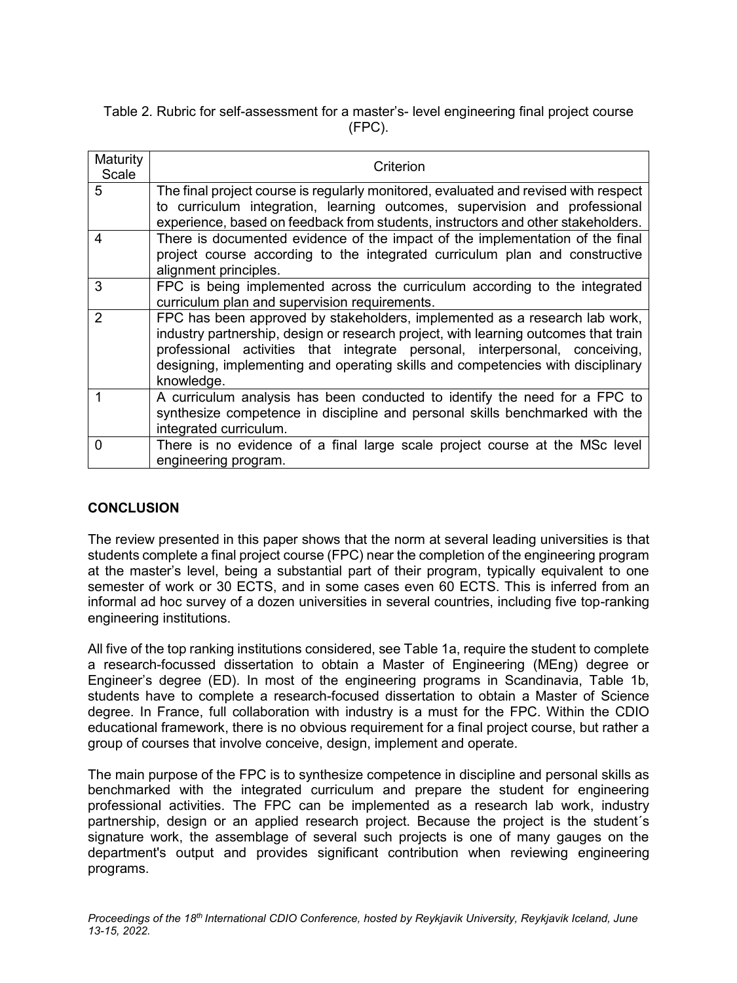Table 2. Rubric for self-assessment for a master's- level engineering final project course (FPC).

| Maturity<br>Scale | Criterion                                                                                                                                                                                                                                                                                                                                         |
|-------------------|---------------------------------------------------------------------------------------------------------------------------------------------------------------------------------------------------------------------------------------------------------------------------------------------------------------------------------------------------|
| 5                 | The final project course is regularly monitored, evaluated and revised with respect<br>to curriculum integration, learning outcomes, supervision and professional<br>experience, based on feedback from students, instructors and other stakeholders.                                                                                             |
| $\boldsymbol{4}$  | There is documented evidence of the impact of the implementation of the final<br>project course according to the integrated curriculum plan and constructive<br>alignment principles.                                                                                                                                                             |
| 3                 | FPC is being implemented across the curriculum according to the integrated<br>curriculum plan and supervision requirements.                                                                                                                                                                                                                       |
| $\overline{2}$    | FPC has been approved by stakeholders, implemented as a research lab work,<br>industry partnership, design or research project, with learning outcomes that train<br>professional activities that integrate personal, interpersonal, conceiving,<br>designing, implementing and operating skills and competencies with disciplinary<br>knowledge. |
|                   | A curriculum analysis has been conducted to identify the need for a FPC to<br>synthesize competence in discipline and personal skills benchmarked with the<br>integrated curriculum.                                                                                                                                                              |
| 0                 | There is no evidence of a final large scale project course at the MSc level<br>engineering program.                                                                                                                                                                                                                                               |

### **CONCLUSION**

The review presented in this paper shows that the norm at several leading universities is that students complete a final project course (FPC) near the completion of the engineering program at the master's level, being a substantial part of their program, typically equivalent to one semester of work or 30 ECTS, and in some cases even 60 ECTS. This is inferred from an informal ad hoc survey of a dozen universities in several countries, including five top-ranking engineering institutions.

All five of the top ranking institutions considered, see Table 1a, require the student to complete a research-focussed dissertation to obtain a Master of Engineering (MEng) degree or Engineer's degree (ED). In most of the engineering programs in Scandinavia, Table 1b, students have to complete a research-focused dissertation to obtain a Master of Science degree. In France, full collaboration with industry is a must for the FPC. Within the CDIO educational framework, there is no obvious requirement for a final project course, but rather a group of courses that involve conceive, design, implement and operate.

The main purpose of the FPC is to synthesize competence in discipline and personal skills as benchmarked with the integrated curriculum and prepare the student for engineering professional activities. The FPC can be implemented as a research lab work, industry partnership, design or an applied research project. Because the project is the student´s signature work, the assemblage of several such projects is one of many gauges on the department's output and provides significant contribution when reviewing engineering programs.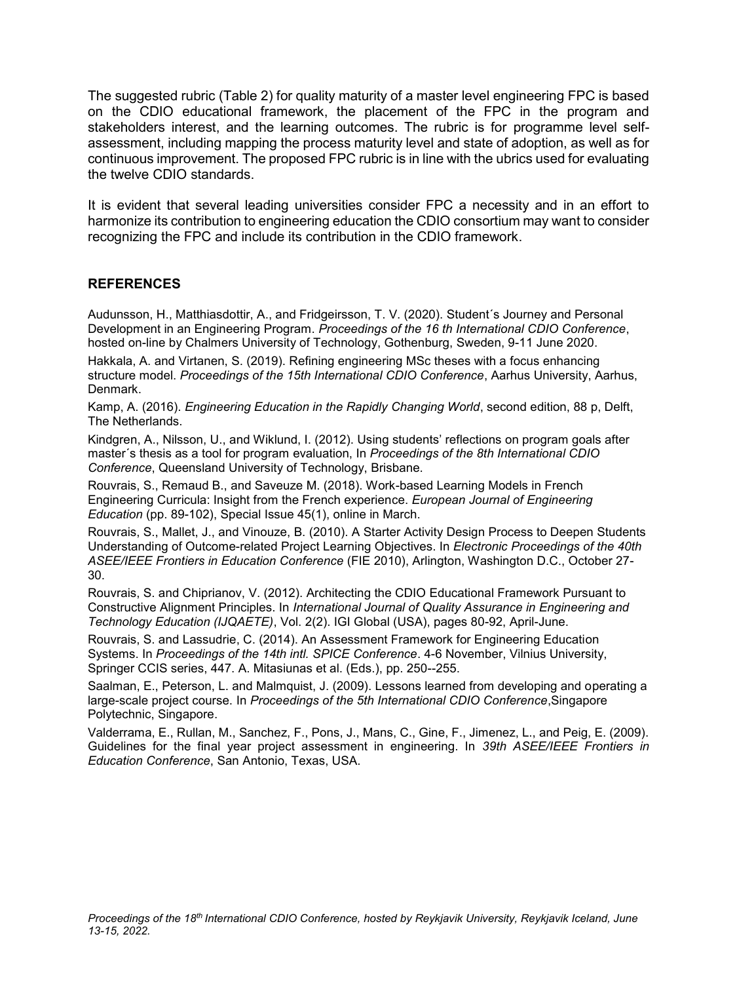The suggested rubric (Table 2) for quality maturity of a master level engineering FPC is based on the CDIO educational framework, the placement of the FPC in the program and stakeholders interest, and the learning outcomes. The rubric is for programme level selfassessment, including mapping the process maturity level and state of adoption, as well as for continuous improvement. The proposed FPC rubric is in line with the ubrics used for evaluating the twelve CDIO standards.

It is evident that several leading universities consider FPC a necessity and in an effort to harmonize its contribution to engineering education the CDIO consortium may want to consider recognizing the FPC and include its contribution in the CDIO framework.

### **REFERENCES**

Audunsson, H., Matthiasdottir, A., and Fridgeirsson, T. V. (2020). Student´s Journey and Personal Development in an Engineering Program. *Proceedings of the 16 th International CDIO Conference*, hosted on-line by Chalmers University of Technology, Gothenburg, Sweden, 9-11 June 2020.

Hakkala, A. and Virtanen, S. (2019). Refining engineering MSc theses with a focus enhancing structure model. *Proceedings of the 15th International CDIO Conference*, Aarhus University, Aarhus, Denmark.

Kamp, A. (2016). *Engineering Education in the Rapidly Changing World*, second edition, 88 p, Delft, The Netherlands.

Kindgren, A., Nilsson, U., and Wiklund, I. (2012). Using students' reflections on program goals after master´s thesis as a tool for program evaluation, In *Proceedings of the 8th International CDIO Conference*, Queensland University of Technology, Brisbane.

Rouvrais, S., Remaud B., and Saveuze M. (2018). Work-based Learning Models in French Engineering Curricula: Insight from the French experience. *European Journal of Engineering Education* (pp. 89-102), Special Issue 45(1), online in March.

Rouvrais, S., Mallet, J., and Vinouze, B. (2010). A Starter Activity Design Process to Deepen Students Understanding of Outcome-related Project Learning Objectives. In *Electronic Proceedings of the 40th ASEE/IEEE Frontiers in Education Conference* (FIE 2010), Arlington, Washington D.C., October 27- 30.

Rouvrais, S. and Chiprianov, V. (2012). Architecting the CDIO Educational Framework Pursuant to Constructive Alignment Principles. In *International Journal of Quality Assurance in Engineering and Technology Education (IJQAETE)*, Vol. 2(2). IGI Global (USA), pages 80-92, April-June.

Rouvrais, S. and Lassudrie, C. (2014). An Assessment Framework for Engineering Education Systems. In *Proceedings of the 14th intl. SPICE Conference*. 4-6 November, Vilnius University, Springer CCIS series, 447. A. Mitasiunas et al. (Eds.), pp. 250--255.

Saalman, E., Peterson, L. and Malmquist, J. (2009). Lessons learned from developing and operating a large-scale project course. In *Proceedings of the 5th International CDIO Conference*,Singapore Polytechnic, Singapore.

Valderrama, E., Rullan, M., Sanchez, F., Pons, J., Mans, C., Gine, F., Jimenez, L., and Peig, E. (2009). Guidelines for the final year project assessment in engineering. In *39th ASEE/IEEE Frontiers in Education Conference*, San Antonio, Texas, USA.